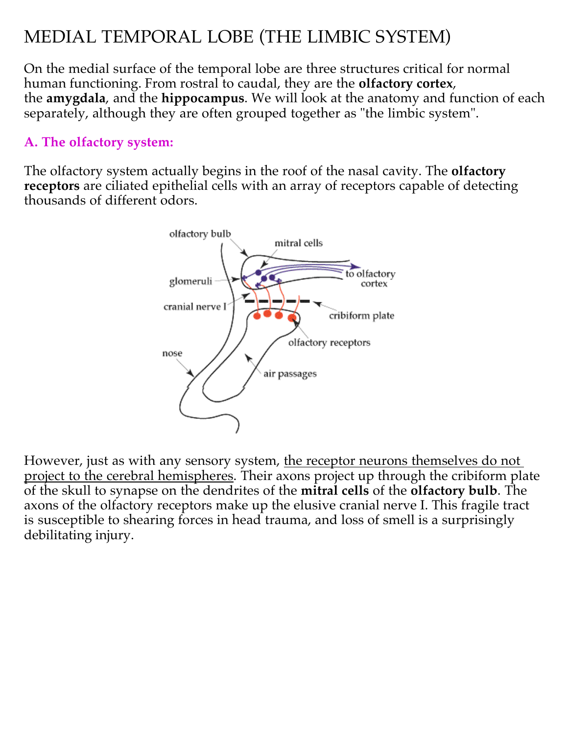# MEDIAL TEMPORAL LOBE (THE LIMBIC SYSTEM)

On the medial surface of the temporal lobe are three structures critical for normal human functioning. From rostral to caudal, they are the **olfactory cortex**, the **amygdala**, and the **hippocampus**. We will look at the anatomy and function of each separately, although they are often grouped together as "the limbic system".

#### **A. The olfactory system:**

The olfactory system actually begins in the roof of the nasal cavity. The **olfactory receptors** are ciliated epithelial cells with an array of receptors capable of detecting thousands of different odors.



However, just as with any sensory system, <u>the receptor neurons themselves do not</u> <u>project to the cerebral hemispheres</u>. Their axons project up through the cribiform plate of the skull to synapse on the dendrites of the **mitral cells** of the **olfactory bulb**. The axons of the olfactory receptors make up the elusive cranial nerve I. This fragile tract is susceptible to shearing forces in head trauma, and loss of smell is a surprisingly debilitating injury.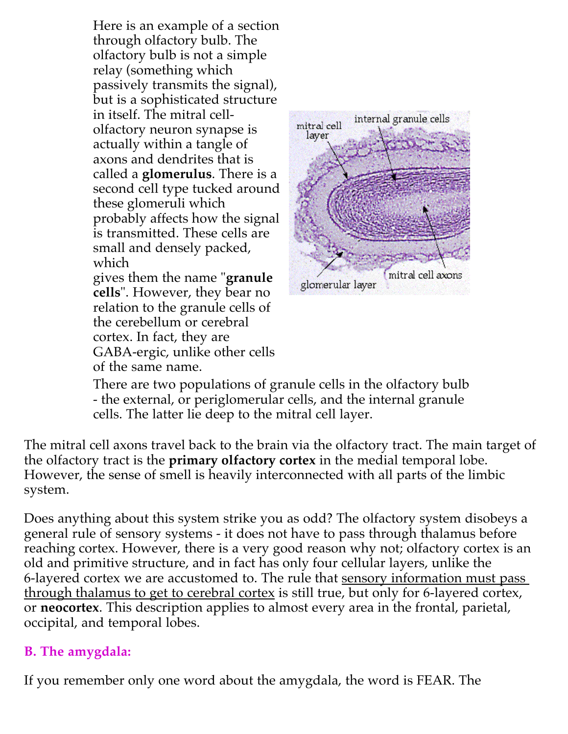Here is an example of a section through olfactory bulb. The olfactory bulb is not a simple relay (something which passively transmits the signal), but is a sophisticated structure in itself. The mitral cellolfactory neuron synapse is actually within a tangle of axons and dendrites that is called a **glomerulus**. There is a second cell type tucked around these glomeruli which probably affects how the signal is transmitted. These cells are small and densely packed, which gives them the name " **granule cells**". However, they bear no relation to the granule cells of the cerebellum or cerebral

cortex. In fact, they are

of the same name.

GABA-ergic, unlike other cells



There are two populations of granule cells in the olfactory bulb - the external, or periglomerular cells, and the internal granule cells. The latter lie deep to the mitral cell layer.

The mitral cell axons travel back to the brain via the olfactory tract. The main target of the olfactory tract is the **primary olfactory cortex** in the medial temporal lobe. However, the sense of smell is heavily interconnected with all parts of the limbic system.

Does anything about this system strike you as odd? The olfactory system disobeys a general rule of sensory systems - it does not have to pass through thalamus before reaching cortex. However, there is a very good reason why not; olfactory cortex is an old and primitive structure, and in fact has only four cellular layers, unlike the 6-layered cortex we are accustomed to. The rule that <u>sensory information must pass</u> <u>through thalamus to get to cerebral cortex</u> is still true, but only for 6-layered cortex, or **neocortex**. This description applies to almost every area in the frontal, parietal, occipital, and temporal lobes.

## **B. The amygdala:**

If you remember only one word about the amygdala, the word is FEAR. The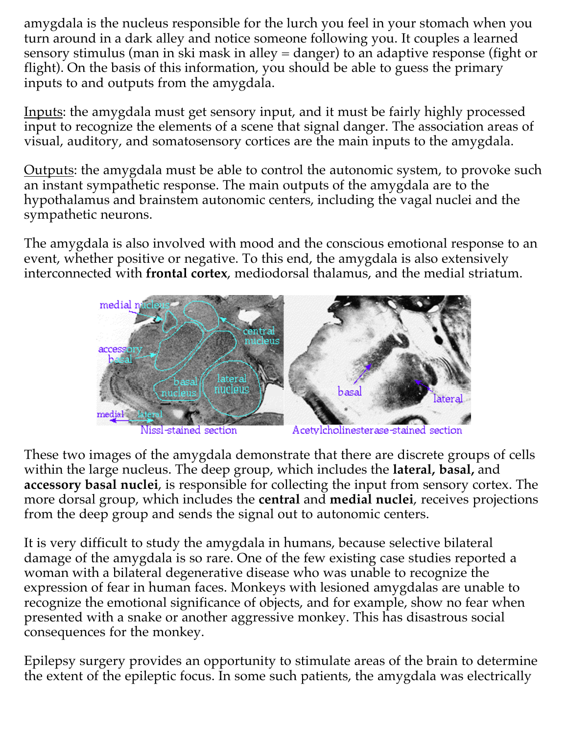amygdala is the nucleus responsible for the lurch you feel in your stomach when you turn around in a dark alley and notice someone following you. It couples a learned sensory stimulus (man in ski mask in alley = danger) to an adaptive response (fight or flight). On the basis of this information, you should be able to guess the primary inputs to and outputs from the amygdala.

Inputs: the amygdala must get sensory input, and it must be fairly highly processed input to recognize the elements of a scene that signal danger. The association areas of visual, auditory, and somatosensory cortices are the main inputs to the amygdala.

Outputs: the amygdala must be able to control the autonomic system, to provoke such an instant sympathetic response. The main outputs of the amygdala are to the hypothalamus and brainstem autonomic centers, including the vagal nuclei and the sympathetic neurons.

The amygdala is also involved with mood and the conscious emotional response to an event, whether positive or negative. To this end, the amygdala is also extensively interconnected with **frontal cortex**, mediodorsal thalamus, and the medial striatum.



These two images of the amygdala demonstrate that there are discrete groups of cells within the large nucleus. The deep group, which includes the **lateral, basal,** and **accessory basal nuclei**, is responsible for collecting the input from sensory cortex. The **more dorsal group, which includes the <b>central** and **medial nuclei,** receives projections from the deep group and sends the signal out to autonomic centers.

It is very difficult to study the amygdala in humans, because selective bilateral damage of the amygdala is so rare. One of the few existing case studies reported a woman with a bilateral degenerative disease who was unable to recognize the expression of fear in human faces. Monkeys with lesioned amygdalas are unable to recognize the emotional significance of objects, and for example, show no fear when presented with a snake or another aggressive monkey. This has disastrous social consequences for the monkey.

Epilepsy surgery provides an opportunity to stimulate areas of the brain to determine the extent of the epileptic focus. In some such patients, the amygdala was electrically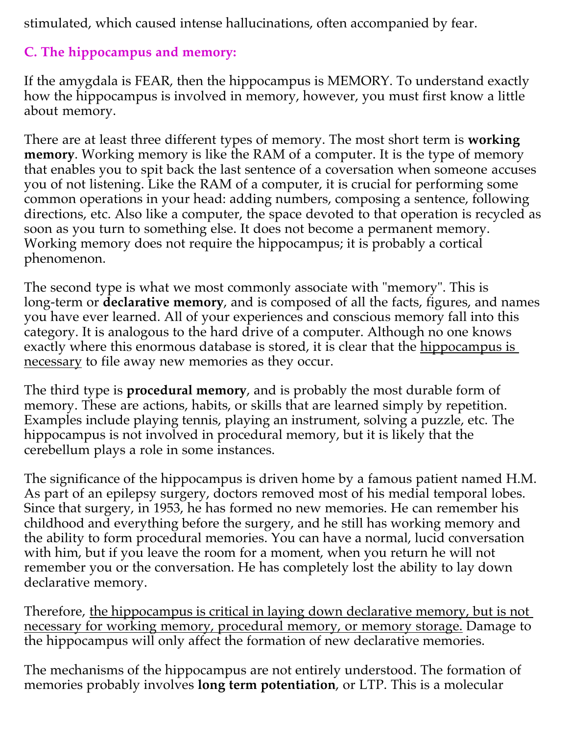stimulated, which caused intense hallucinations, often accompanied by fear.

# **C. The hippocampus and memory:**

If the amygdala is FEAR, then the hippocampus is MEMORY. To understand exactly how the hippocampus is involved in memory, however, you must first know a little about memory.

There are at least three different types of memory. The most short term is **working**  . Working memory is like the RAM of a computer. It is the type of memory **memory** that enables you to spit back the last sentence of a coversation when someone accuses you of not listening. Like the RAM of a computer, it is crucial for performing some common operations in your head: adding numbers, composing a sentence, following directions, etc. Also like a computer, the space devoted to that operation is recycled as soon as you turn to something else. It does not become a permanent memory. Working memory does not require the hippocampus; it is probably a cortical phenomenon.

The second type is what we most commonly associate with "memory". This is long-term or **declarative memory**, and is composed of all the facts, figures, and names you have ever learned. All of your experiences and conscious memory fall into this category. It is analogous to the hard drive of a computer. Although no one knows exactly where this enormous database is stored, it is clear that the <u>hippocampus is </u> <u>necessary</u> to file away new memories as they occur.

The third type is **procedural memory**, and is probably the most durable form of memory. These are actions, habits, or skills that are learned simply by repetition. Examples include playing tennis, playing an instrument, solving a puzzle, etc. The hippocampus is not involved in procedural memory, but it is likely that the cerebellum plays a role in some instances.

The significance of the hippocampus is driven home by a famous patient named H.M. As part of an epilepsy surgery, doctors removed most of his medial temporal lobes. Since that surgery, in 1953, he has formed no new memories. He can remember his childhood and everything before the surgery, and he still has working memory and the ability to form procedural memories. You can have a normal, lucid conversation with him, but if you leave the room for a moment, when you return he will not remember you or the conversation. He has completely lost the ability to lay down declarative memory.

Therefore, <u>the hippocampus is critical in laying down declarative memory, but is not</u> necessary for working memory, procedural memory, or memory storage. Damage to the hippocampus will only affect the formation of new declarative memories.

The mechanisms of the hippocampus are not entirely understood. The formation of memories probably involves **long term potentiation**, or LTP. This is a molecular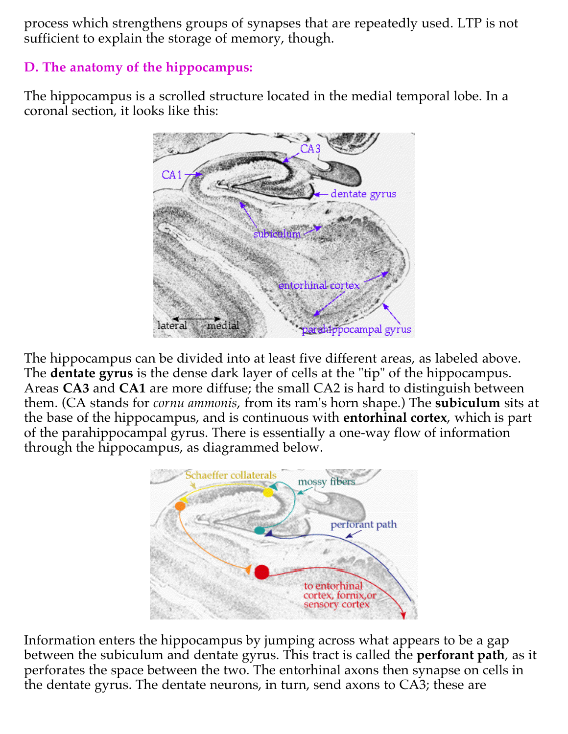process which strengthens groups of synapses that are repeatedly used. LTP is not sufficient to explain the storage of memory, though.

#### **D. The anatomy of the hippocampus:**

The hippocampus is a scrolled structure located in the medial temporal lobe. In a coronal section, it looks like this:



The hippocampus can be divided into at least five different areas, as labeled above. The **dentate gyrus** is the dense dark layer of cells at the "tip" of the hippocampus. Areas CA3 and CA1 are more diffuse; the small CA2 is hard to distinguish between them. (CA stands for *cornu ammonis,* from its ram's horn shape.) The **subiculum** sits at the base of the hippocampus, and is continuous with **entorhinal cortex**, which is part of the parahippocampal gyrus. There is essentially a one-way flow of information through the hippocampus, as diagrammed below.



Information enters the hippocampus by jumping across what appears to be a gap between the subiculum and dentate gyrus. This tract is called the **perforant path**, as it perforates the space between the two. The entorhinal axons then synapse on cells in the dentate gyrus. The dentate neurons, in turn, send axons to CA3; these are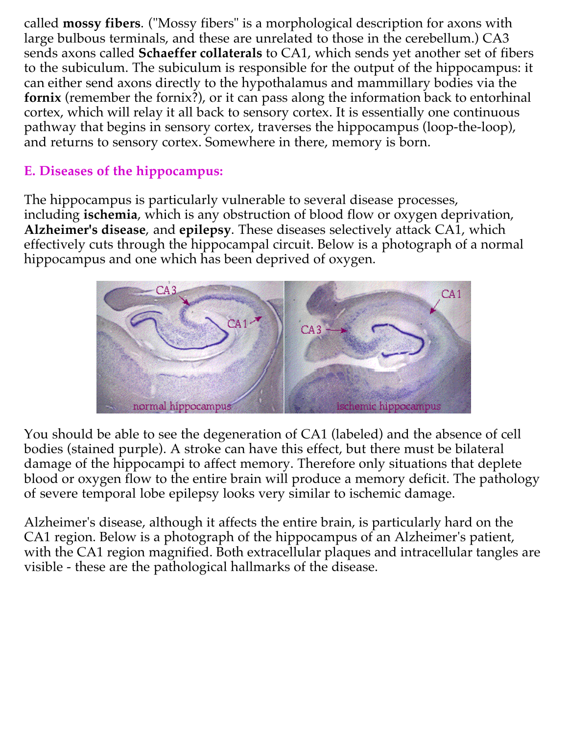called **mossy fibers**. ("Mossy fibers" is a morphological description for axons with large bulbous terminals, and these are unrelated to those in the cerebellum.) CA3 sends axons called **Schaeffer collaterals** to CA1, which sends yet another set of fibers to the subiculum. The subiculum is responsible for the output of the hippocampus: it can either send axons directly to the hypothalamus and mammillary bodies via the (remember the fornix?), or it can pass along the information back to entorhinal **fornix** cortex, which will relay it all back to sensory cortex. It is essentially one continuous pathway that begins in sensory cortex, traverses the hippocampus (loop-the-loop), and returns to sensory cortex. Somewhere in there, memory is born.

### **E. Diseases of the hippocampus:**

The hippocampus is particularly vulnerable to several disease processes, including **ischemia**, which is any obstruction of blood flow or oxygen deprivation, **Alzheimer's disease**, and **epilepsy**. These diseases selectively attack CA1, which effectively cuts through the hippocampal circuit. Below is a photograph of a normal hippocampus and one which has been deprived of oxygen.



You should be able to see the degeneration of CA1 (labeled) and the absence of cell bodies (stained purple). A stroke can have this effect, but there must be bilateral damage of the hippocampi to affect memory. Therefore only situations that deplete blood or oxygen flow to the entire brain will produce a memory deficit. The pathology of severe temporal lobe epilepsy looks very similar to ischemic damage.

Alzheimer's disease, although it affects the entire brain, is particularly hard on the CA1 region. Below is a photograph of the hippocampus of an Alzheimer's patient, with the CA1 region magnified. Both extracellular plaques and intracellular tangles are visible - these are the pathological hallmarks of the disease.